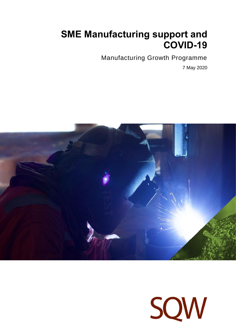# **SME Manufacturing support and COVID-19**

Manufacturing Growth Programme

7 May 2020



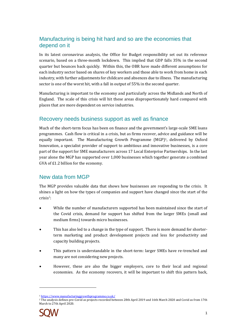# Manufacturing is being hit hard and so are the economies that depend on it

In its latest coronavirus analysis, the Office for Budget responsibility set out its reference scenario, based on a three-month lockdown. This implied that GDP falls 35% in the second quarter but bounces back quickly. Within this, the OBR have made different assumptions for each industry sector based on shares of key workers and those able to work from home in each industry, with further adjustments for childcare and absences due to illness. The manufacturing sector is one of the worst hit, with a fall in output of 55% in the second quarter.

Manufacturing is important to the economy and particularly across the Midlands and North of England. The scale of this crisis will hit these areas disproportionately hard compared with places that are more dependent on service industries.

## Recovery needs business support as well as finance

Much of the short-term focus has been on finance and the government's large-scale SME loans programmes. Cash flow is critical in a crisis, but as firms recover, advice and guidance will be equally important. The Manufacturing Growth Programme (MGP)1, delivered by Oxford Innovation, a specialist provider of support to ambitious and innovative businesses, is a core part of the support for SME manufacturers across 17 Local Enterprise Partnerships. In the last year alone the MGP has supported over 1,000 businesses which together generate a combined GVA of £1.2 billion for the economy.

## New data from MGP

The MGP provides valuable data that shows how businesses are responding to the crisis. It shines a light on how the types of companies and support have changed since the start of the  $crisis<sup>2</sup>$ :

- While the number of manufacturers supported has been maintained since the start of the Covid crisis, demand for support has shifted from the larger SMEs (small and medium firms) towards micro businesses.
- This has also led to a change in the type of support. There is more demand for shorterterm marketing and product development projects and less for productivity and capacity building projects.
- This pattern is understandable in the short-term: larger SMEs have re-trenched and many are not considering new projects.
- However, these are also the bigger employers, core to their local and regional economies. As the economy recovers, it will be important to shift this pattern back,

<sup>&</sup>lt;sup>2</sup> The analysis defines pre-Covid as projects recorded between 28th April 2019 and 16th March 2020 and Covid as from 17th March to 27th April 2020.



<sup>1</sup> <https://www.manufacturinggrowthprogramme.co.uk/>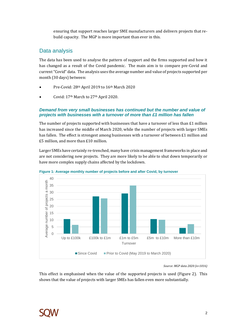ensuring that support reaches larger SME manufacturers and delivers projects that rebuild capacity. The MGP is more important than ever in this.

## Data analysis

The data has been used to analyse the pattern of support and the firms supported and how it has changed as a result of the Covid pandemic. The main aim is to compare pre-Covid and current "Covid" data. The analysis uses the average number and value of projects supported per month (30 days) between:

- Pre-Covid: 28th April 2019 to 16th March 2020
- Covid: 17th March to 27th April 2020.

#### *Demand from very small businesses has continued but the number and value of projects with businesses with a turnover of more than £1 million has fallen*

The number of projects supported with businesses that have a turnover of less than  $E1$  million has increased since the middle of March 2020, while the number of projects with larger SMEs has fallen. The effect is strongest among businesses with a turnover of between £1 million and £5 million, and more than £10 million.

Larger SMEs have certainly re-trenched, many have crisis management frameworks in place and are not considering new projects. They are more likely to be able to shut down temporarily or have more complex supply chains affected by the lockdown.





*Source: MGP data 2020 (n=1016)*

This effect is emphasised when the value of the supported projects is used (Figure 2). This shows that the value of projects with larger SMEs has fallen even more substantially.

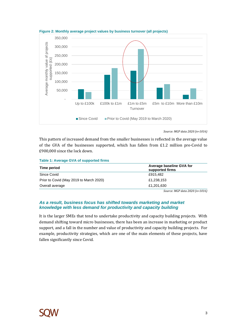

**Figure 2: Monthly average project values by business turnover (all projects)**

This pattern of increased demand from the smaller businesses is reflected in the average value of the GVA of the businesses supported, which has fallen from £1.2 million pre-Covid to £900,000 since the lock down.

**Table 1: Average GVA of supported firms**

| Time period                             | Average baseline GVA for<br>supported firms |
|-----------------------------------------|---------------------------------------------|
| Since Covid                             | £915,482                                    |
| Prior to Covid (May 2019 to March 2020) | £1,238,153                                  |
| Overall average                         | £1,201,630                                  |
|                                         | Source: MGP data 2020 (n=1016)              |

#### *As a result, business focus has shifted towards marketing and market knowledge with less demand for productivity and capacity building*

It is the larger SMEs that tend to undertake productivity and capacity building projects. With demand shifting toward micro businesses, there has been an increase in marketing or product support, and a fall in the number and value of productivity and capacity building projects. For example, productivity strategies, which are one of the main elements of these projects, have fallen significantly since Covid.



*Source: MGP data 2020 (n=1016)*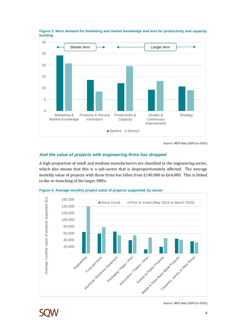

**Figure 3: More demand for marketing and market knowledge and less for productivity and capacity building**

*Source: MGP data 2020 (n=1016)*

## *And the value of projects with engineering firms has dropped*

A high proportion of small and medium manufacturers are classified in the engineering sector, which also means that this is a sub-sector that is disproportionately affected. The average monthly value of projects with these firms has fallen from £140,000 to £64,000. This is linked to the re-trenching of the larger SMEs.



**Figure 4: Average monthly project value of projects supported, by sector**



*Source: MGP data 2020 (n=1016)*